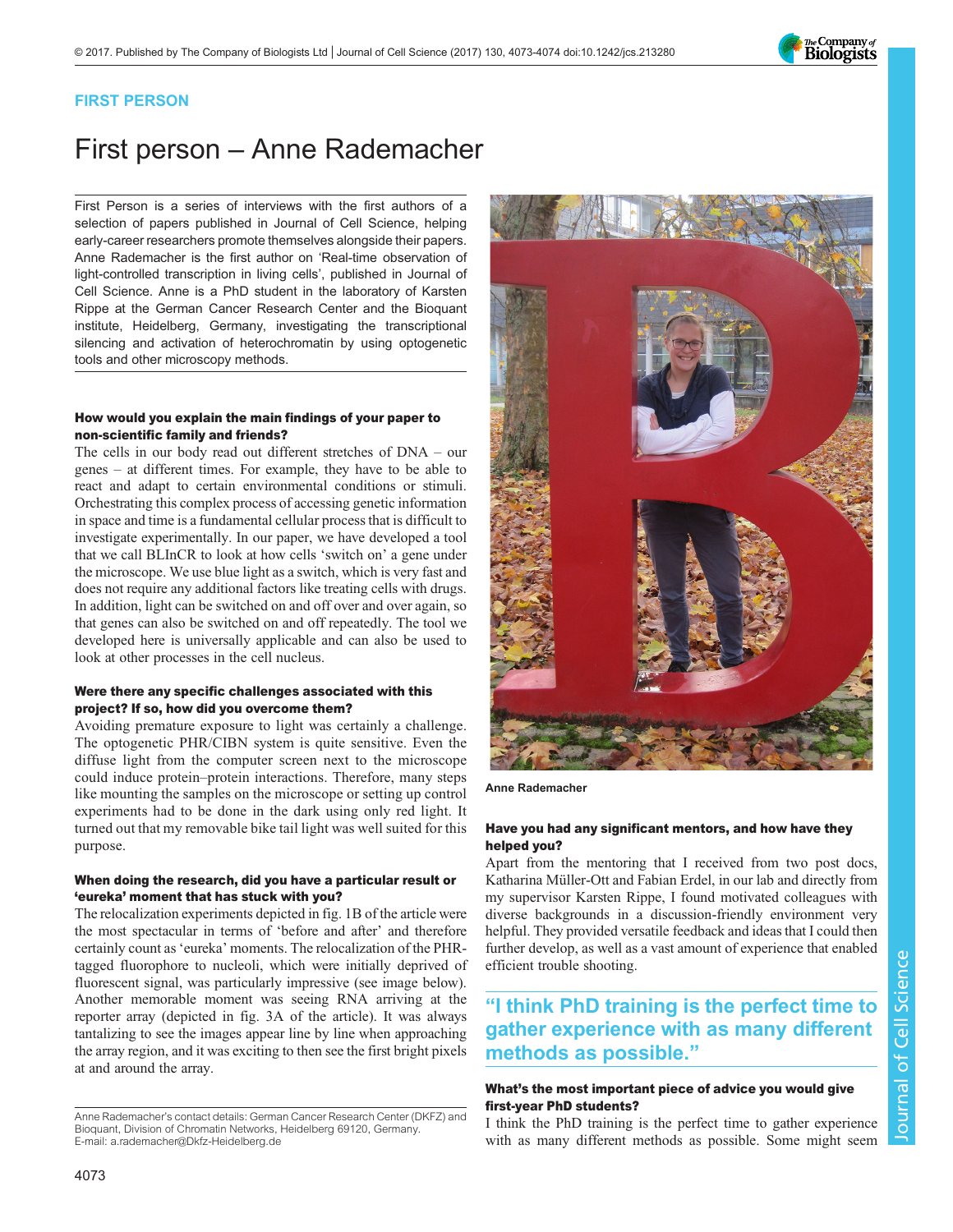

## FIRST PERSON

# First person – Anne Rademacher

First Person is a series of interviews with the first authors of a selection of papers published in Journal of Cell Science, helping early-career researchers promote themselves alongside their papers. Anne Rademacher is the first author on '[Real-time observation of](#page-1-0) [light-controlled transcription in living cells](#page-1-0)', published in Journal of Cell Science. Anne is a PhD student in the laboratory of Karsten Rippe at the German Cancer Research Center and the Bioquant institute, Heidelberg, Germany, investigating the transcriptional silencing and activation of heterochromatin by using optogenetic tools and other microscopy methods.

#### How would you explain the main findings of your paper to non-scientific family and friends?

The cells in our body read out different stretches of DNA – our genes – at different times. For example, they have to be able to react and adapt to certain environmental conditions or stimuli. Orchestrating this complex process of accessing genetic information in space and time is a fundamental cellular process that is difficult to investigate experimentally. In our paper, we have developed a tool that we call BLInCR to look at how cells 'switch on' a gene under the microscope. We use blue light as a switch, which is very fast and does not require any additional factors like treating cells with drugs. In addition, light can be switched on and off over and over again, so that genes can also be switched on and off repeatedly. The tool we developed here is universally applicable and can also be used to look at other processes in the cell nucleus.

#### Were there any specific challenges associated with this project? If so, how did you overcome them?

Avoiding premature exposure to light was certainly a challenge. The optogenetic PHR/CIBN system is quite sensitive. Even the diffuse light from the computer screen next to the microscope could induce protein–protein interactions. Therefore, many steps like mounting the samples on the microscope or setting up control experiments had to be done in the dark using only red light. It turned out that my removable bike tail light was well suited for this purpose.

#### When doing the research, did you have a particular result or 'eureka' moment that has stuck with you?

The relocalization experiments depicted in fig. 1B of the article were the most spectacular in terms of 'before and after' and therefore certainly count as'eureka' moments. The relocalization of the PHRtagged fluorophore to nucleoli, which were initially deprived of fluorescent signal, was particularly impressive (see image below). Another memorable moment was seeing RNA arriving at the reporter array (depicted in fig. 3A of the article). It was always tantalizing to see the images appear line by line when approaching the array region, and it was exciting to then see the first bright pixels at and around the array.



Anne Rademacher

#### Have you had any significant mentors, and how have they helped you?

Apart from the mentoring that I received from two post docs, Katharina Müller-Ott and Fabian Erdel, in our lab and directly from my supervisor Karsten Rippe, I found motivated colleagues with diverse backgrounds in a discussion-friendly environment very helpful. They provided versatile feedback and ideas that I could then further develop, as well as a vast amount of experience that enabled efficient trouble shooting.

# "I think PhD training is the perfect time to gather experience with as many different methods as possible."

### What's the most important piece of advice you would give first-year PhD students?

I think the PhD training is the perfect time to gather experience with as many different methods as possible. Some might seem

Anne Rademacher's contact details: German Cancer Research Center (DKFZ) and Bioquant, Division of Chromatin Networks, Heidelberg 69120, Germany. E-mail: [a.rademacher@Dkfz-Heidelberg.de](mailto:a.rademacher@Dkfz-Heidelberg.de)